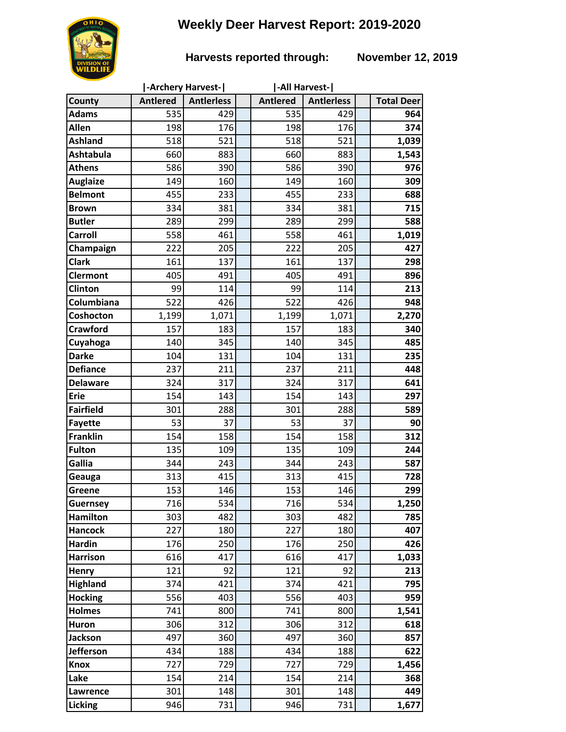# **Weekly Deer Harvest Report: 2019-2020**

## **Harvests reported through: November 12, 2019**

|                  |                 | -Archery Harvest- | -All Harvest-   |                   |                   |
|------------------|-----------------|-------------------|-----------------|-------------------|-------------------|
| County           | <b>Antlered</b> | <b>Antlerless</b> | <b>Antlered</b> | <b>Antlerless</b> | <b>Total Deer</b> |
| <b>Adams</b>     | 535             | 429               | 535             | 429               | 964               |
| Allen            | 198             | 176               | 198             | 176               | 374               |
| <b>Ashland</b>   | 518             | 521               | 518             | 521               | 1,039             |
| <b>Ashtabula</b> | 660             | 883               | 660             | 883               | 1,543             |
| <b>Athens</b>    | 586             | 390               | 586             | 390               | 976               |
| <b>Auglaize</b>  | 149             | 160               | 149             | 160               | 309               |
| <b>Belmont</b>   | 455             | 233               | 455             | 233               | 688               |
| <b>Brown</b>     | 334             | 381               | 334             | 381               | 715               |
| <b>Butler</b>    | 289             | 299               | 289             | 299               | 588               |
| <b>Carroll</b>   | 558             | 461               | 558             | 461               | 1,019             |
| Champaign        | 222             | 205               | 222             | 205               | 427               |
| <b>Clark</b>     | 161             | 137               | 161             | 137               | 298               |
| <b>Clermont</b>  | 405             | 491               | 405             | 491               | 896               |
| <b>Clinton</b>   | 99              | 114               | 99              | 114               | 213               |
| Columbiana       | 522             | 426               | 522             | 426               | 948               |
| Coshocton        | 1,199           | 1,071             | 1,199           | 1,071             | 2,270             |
| <b>Crawford</b>  | 157             | 183               | 157             | 183               | 340               |
| Cuyahoga         | 140             | 345               | 140             | 345               | 485               |
| <b>Darke</b>     | 104             | 131               | 104             | 131               | 235               |
| <b>Defiance</b>  | 237             | 211               | 237             | 211               | 448               |
| <b>Delaware</b>  | 324             | 317               | 324             | 317               | 641               |
| <b>Erie</b>      | 154             | 143               | 154             | 143               | 297               |
| <b>Fairfield</b> | 301             | 288               | 301             | 288               | 589               |
| <b>Fayette</b>   | 53              | 37                | 53              | 37                | 90                |
| <b>Franklin</b>  | 154             | 158               | 154             | 158               | 312               |
| <b>Fulton</b>    | 135             | 109               | 135             | 109               | 244               |
| Gallia           | 344             | 243               | 344             | 243               | 587               |
| Geauga           | 313             | 415               | 313             | 415               | 728               |
| Greene           | 153             | 146               | 153             | 146               | 299               |
| <b>Guernsey</b>  | 716             | 534               | 716             | 534               | 1,250             |
| <b>Hamilton</b>  | 303             | 482               | 303             | 482               | 785               |
| <b>Hancock</b>   | 227             | 180               | 227             | 180               | 407               |
| <b>Hardin</b>    | 176             | 250               | 176             | 250               | 426               |
| <b>Harrison</b>  | 616             | 417               | 616             | 417               | 1,033             |
| Henry            | 121             | 92                | 121             | 92                | 213               |
| <b>Highland</b>  | 374             | 421               | 374             | 421               | 795               |
| <b>Hocking</b>   | 556             | 403               | 556             | 403               | 959               |
| <b>Holmes</b>    | 741             | 800               | 741             | 800               | 1,541             |
| Huron            | 306             | 312               | 306             | 312               | 618               |
| <b>Jackson</b>   | 497             | 360               | 497             | 360               | 857               |
| <b>Jefferson</b> | 434             | 188               | 434             | 188               | 622               |
| <b>Knox</b>      | 727             | 729               | 727             | 729               | 1,456             |
| Lake             | 154             | 214               | 154             | 214               | 368               |
| Lawrence         | 301             | 148               | 301             | 148               | 449               |
| Licking          | 946             | 731               | 946             | 731               | 1,677             |